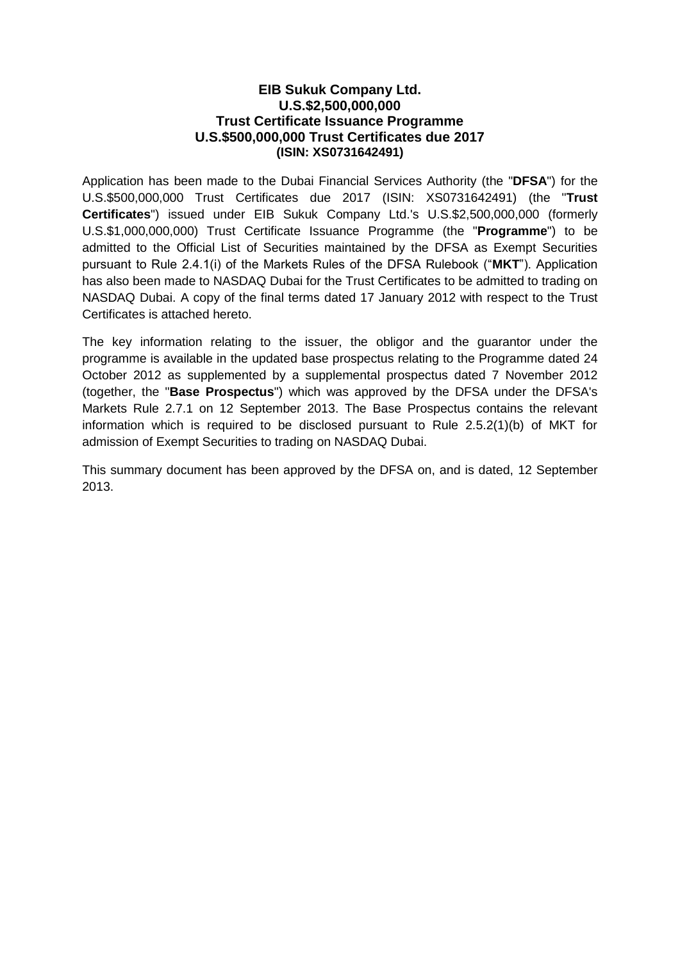## **EIB Sukuk Company Ltd. U.S.\$2,500,000,000 Trust Certificate Issuance Programme U.S.\$500,000,000 Trust Certificates due 2017 (ISIN: XS0731642491)**

Application has been made to the Dubai Financial Services Authority (the "**DFSA**") for the U.S.\$500,000,000 Trust Certificates due 2017 (ISIN: XS0731642491) (the "**Trust Certificates**") issued under EIB Sukuk Company Ltd.'s U.S.\$2,500,000,000 (formerly U.S.\$1,000,000,000) Trust Certificate Issuance Programme (the "**Programme**") to be admitted to the Official List of Securities maintained by the DFSA as Exempt Securities pursuant to Rule 2.4.1(i) of the Markets Rules of the DFSA Rulebook ("**MKT**"). Application has also been made to NASDAQ Dubai for the Trust Certificates to be admitted to trading on NASDAQ Dubai. A copy of the final terms dated 17 January 2012 with respect to the Trust Certificates is attached hereto.

The key information relating to the issuer, the obligor and the guarantor under the programme is available in the updated base prospectus relating to the Programme dated 24 October 2012 as supplemented by a supplemental prospectus dated 7 November 2012 (together, the "**Base Prospectus**") which was approved by the DFSA under the DFSA's Markets Rule 2.7.1 on 12 September 2013. The Base Prospectus contains the relevant information which is required to be disclosed pursuant to Rule 2.5.2(1)(b) of MKT for admission of Exempt Securities to trading on NASDAQ Dubai.

This summary document has been approved by the DFSA on, and is dated, 12 September 2013.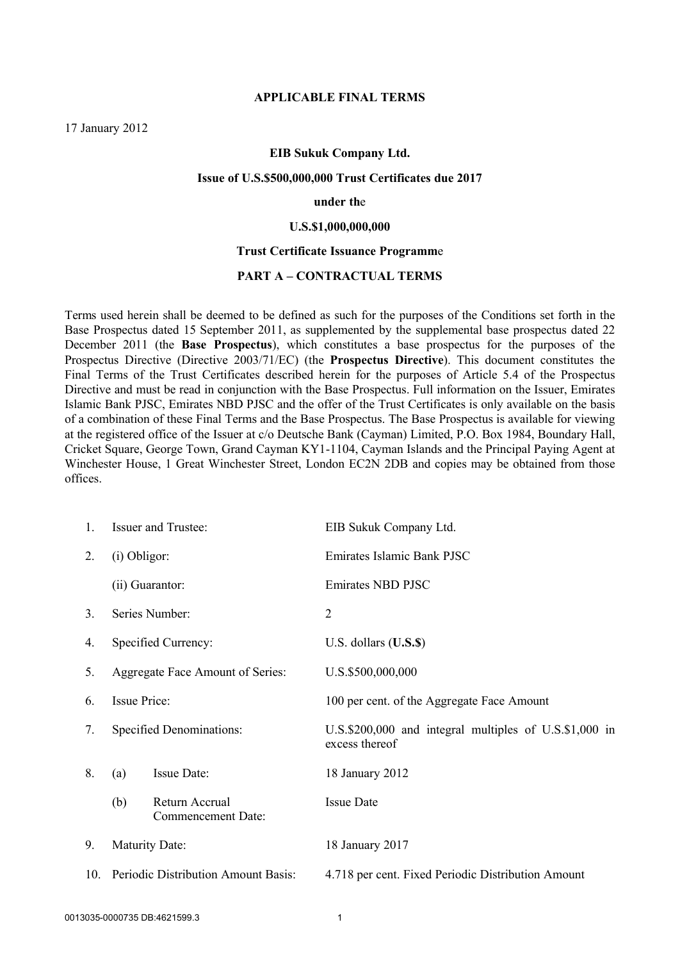#### **APPLICABLE FINAL TERMS**

17 January 2012

#### **EIB Sukuk Company Ltd.**

#### **Issue of U.S.\$500,000,000 Trust Certificates due 2017**

#### **under th**e

#### **U.S.\$1,000,000,000**

#### **Trust Certificate Issuance Programm**e

#### **PART A – CONTRACTUAL TERMS**

Terms used herein shall be deemed to be defined as such for the purposes of the Conditions set forth in the Base Prospectus dated 15 September 2011, as supplemented by the supplemental base prospectus dated 22 December 2011 (the **Base Prospectus**), which constitutes a base prospectus for the purposes of the Prospectus Directive (Directive 2003/71/EC) (the **Prospectus Directive**). This document constitutes the Final Terms of the Trust Certificates described herein for the purposes of Article 5.4 of the Prospectus Directive and must be read in conjunction with the Base Prospectus. Full information on the Issuer, Emirates Islamic Bank PJSC, Emirates NBD PJSC and the offer of the Trust Certificates is only available on the basis of a combination of these Final Terms and the Base Prospectus. The Base Prospectus is available for viewing at the registered office of the Issuer at c/o Deutsche Bank (Cayman) Limited, P.O. Box 1984, Boundary Hall, Cricket Square, George Town, Grand Cayman KY1-1104, Cayman Islands and the Principal Paying Agent at Winchester House, 1 Great Winchester Street, London EC2N 2DB and copies may be obtained from those offices.

| 1.             |                                             | <b>Issuer and Trustee:</b>          | EIB Sukuk Company Ltd.                                                   |  |  |  |  |
|----------------|---------------------------------------------|-------------------------------------|--------------------------------------------------------------------------|--|--|--|--|
| 2.             | (i) Obligor:                                |                                     | Emirates Islamic Bank PJSC                                               |  |  |  |  |
|                |                                             | (ii) Guarantor:                     | Emirates NBD PJSC                                                        |  |  |  |  |
| 3 <sub>1</sub> |                                             | Series Number:                      | $\overline{2}$                                                           |  |  |  |  |
| 4.             | Specified Currency:                         |                                     | U.S. dollars $($ U.S. $$)$                                               |  |  |  |  |
| 5.             | Aggregate Face Amount of Series:            |                                     | U.S.\$500,000,000                                                        |  |  |  |  |
| 6.             | Issue Price:                                |                                     | 100 per cent. of the Aggregate Face Amount                               |  |  |  |  |
| 7.             | Specified Denominations:                    |                                     | U.S.\$200,000 and integral multiples of U.S.\$1,000 in<br>excess thereof |  |  |  |  |
| 8.             | (a)                                         | Issue Date:                         | 18 January 2012                                                          |  |  |  |  |
|                | Return Accrual<br>(b)<br>Commencement Date: |                                     | <b>Issue Date</b>                                                        |  |  |  |  |
| 9.             | <b>Maturity Date:</b>                       |                                     | 18 January 2017                                                          |  |  |  |  |
| 10.            |                                             | Periodic Distribution Amount Basis: | 4.718 per cent. Fixed Periodic Distribution Amount                       |  |  |  |  |
|                |                                             |                                     |                                                                          |  |  |  |  |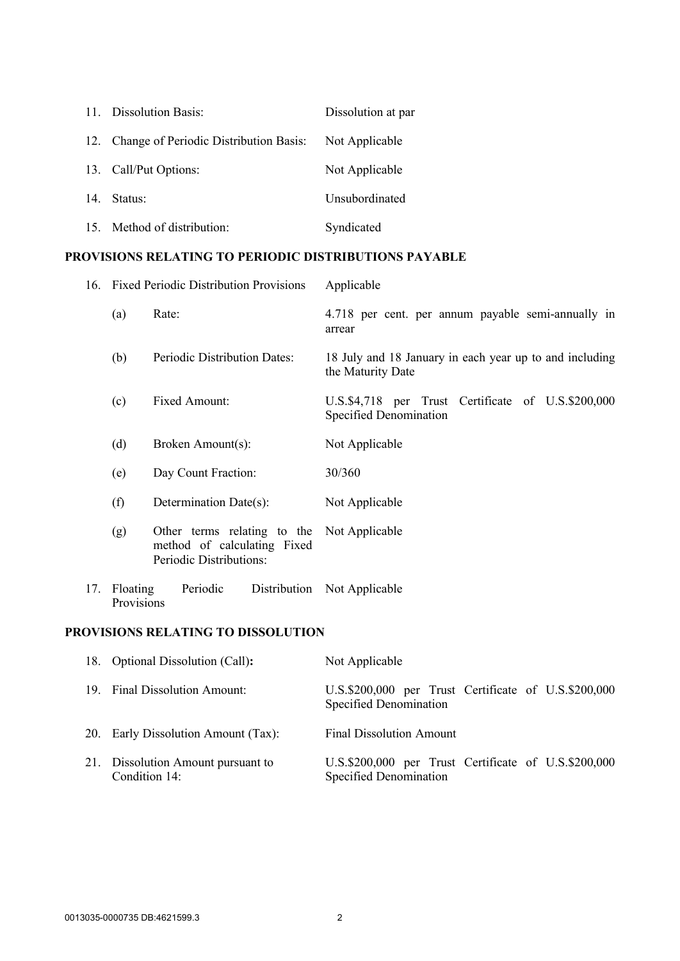| 11. Dissolution Basis:                     | Dissolution at par |
|--------------------------------------------|--------------------|
| 12. Change of Periodic Distribution Basis: | Not Applicable     |
| 13. Call/Put Options:                      | Not Applicable     |
| 14. Status:                                | Unsubordinated     |
| 15. Method of distribution:                | Syndicated         |

# **PROVISIONS RELATING TO PERIODIC DISTRIBUTIONS PAYABLE**

|     |                        | 16. Fixed Periodic Distribution Provisions                                            | Applicable                                                                   |  |  |  |  |
|-----|------------------------|---------------------------------------------------------------------------------------|------------------------------------------------------------------------------|--|--|--|--|
|     | (a)                    | Rate:                                                                                 | 4.718 per cent. per annum payable semi-annually in<br>arrear                 |  |  |  |  |
|     | (b)                    | Periodic Distribution Dates:                                                          | 18 July and 18 January in each year up to and including<br>the Maturity Date |  |  |  |  |
|     | (c)                    | Fixed Amount:                                                                         | U.S.\$4,718 per Trust Certificate of U.S.\$200,000<br>Specified Denomination |  |  |  |  |
|     | (d)                    | Broken Amount(s):                                                                     | Not Applicable                                                               |  |  |  |  |
|     | (e)                    | Day Count Fraction:                                                                   | 30/360                                                                       |  |  |  |  |
|     | (f)                    | Determination Date(s):                                                                | Not Applicable                                                               |  |  |  |  |
|     | (g)                    | Other terms relating to the<br>method of calculating Fixed<br>Periodic Distributions: | Not Applicable                                                               |  |  |  |  |
| 17. | Floating<br>Provisions | Periodic<br>Distribution                                                              | Not Applicable                                                               |  |  |  |  |

### **PROVISIONS RELATING TO DISSOLUTION**

| 18. Optional Dissolution (Call):                    | Not Applicable                                                                 |
|-----------------------------------------------------|--------------------------------------------------------------------------------|
| 19. Final Dissolution Amount:                       | U.S.\$200,000 per Trust Certificate of U.S.\$200,000<br>Specified Denomination |
| 20. Early Dissolution Amount (Tax):                 | <b>Final Dissolution Amount</b>                                                |
| 21. Dissolution Amount pursuant to<br>Condition 14: | U.S.\$200,000 per Trust Certificate of U.S.\$200,000<br>Specified Denomination |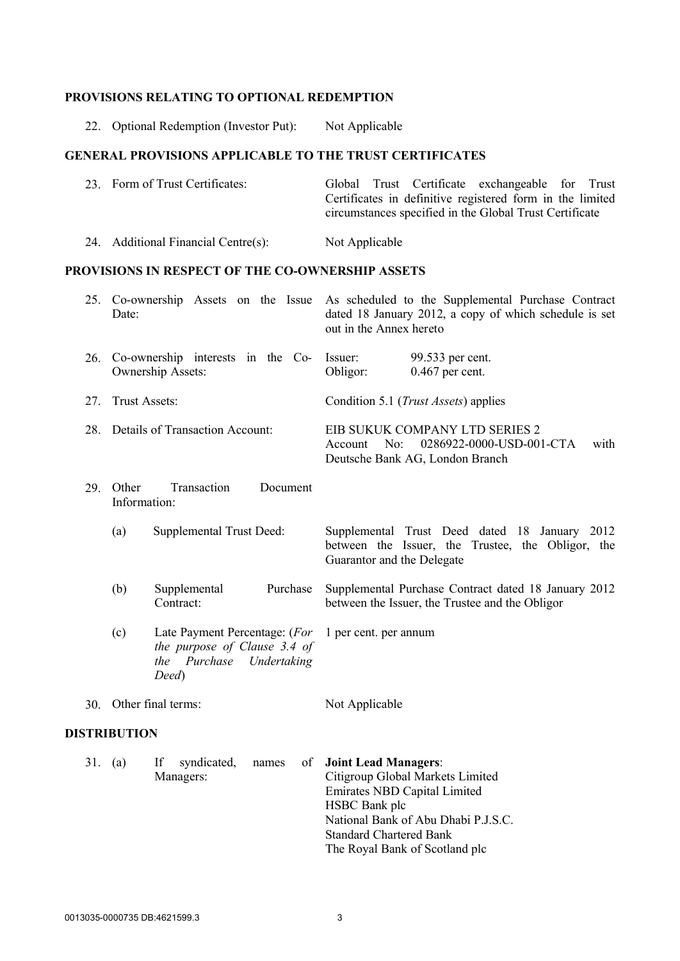## **PROVISIONS RELATING TO OPTIONAL REDEMPTION**

|     | 22. Optional Redemption (Investor Put):                                                                                            | Not Applicable                                                                                                                                                                                   |  |  |  |
|-----|------------------------------------------------------------------------------------------------------------------------------------|--------------------------------------------------------------------------------------------------------------------------------------------------------------------------------------------------|--|--|--|
|     | <b>GENERAL PROVISIONS APPLICABLE TO THE TRUST CERTIFICATES</b>                                                                     |                                                                                                                                                                                                  |  |  |  |
|     | 23. Form of Trust Certificates:                                                                                                    | Trust Certificate exchangeable<br>Global<br>for<br>Trust<br>Certificates in definitive registered form in the limited<br>circumstances specified in the Global Trust Certificate                 |  |  |  |
|     | 24. Additional Financial Centre(s):                                                                                                | Not Applicable                                                                                                                                                                                   |  |  |  |
|     | PROVISIONS IN RESPECT OF THE CO-OWNERSHIP ASSETS                                                                                   |                                                                                                                                                                                                  |  |  |  |
|     | Date:                                                                                                                              | 25. Co-ownership Assets on the Issue As scheduled to the Supplemental Purchase Contract<br>dated 18 January 2012, a copy of which schedule is set<br>out in the Annex hereto                     |  |  |  |
| 26. | Co-ownership interests in the Co-<br>Ownership Assets:                                                                             | 99.533 per cent.<br>Issuer:<br>$0.467$ per cent.<br>Obligor:                                                                                                                                     |  |  |  |
| 27. | Trust Assets:                                                                                                                      | Condition 5.1 ( <i>Trust Assets</i> ) applies                                                                                                                                                    |  |  |  |
|     | 28. Details of Transaction Account:                                                                                                | EIB SUKUK COMPANY LTD SERIES 2<br>0286922-0000-USD-001-CTA<br>No:<br>with<br>Account<br>Deutsche Bank AG, London Branch                                                                          |  |  |  |
|     | Transaction<br>29. Other<br>Document<br>Information:                                                                               |                                                                                                                                                                                                  |  |  |  |
|     | Supplemental Trust Deed:<br>(a)                                                                                                    | Supplemental Trust Deed dated 18 January 2012<br>between the Issuer, the Trustee, the Obligor, the<br>Guarantor and the Delegate                                                                 |  |  |  |
|     | Purchase<br>(b)<br>Supplemental<br>Contract:                                                                                       | Supplemental Purchase Contract dated 18 January 2012<br>between the Issuer, the Trustee and the Obligor                                                                                          |  |  |  |
|     | Late Payment Percentage: (For 1 per cent. per annum<br>(c)<br>the purpose of Clause 3.4 of<br>the Purchase<br>Undertaking<br>Deed) |                                                                                                                                                                                                  |  |  |  |
| 30. | Other final terms:                                                                                                                 | Not Applicable                                                                                                                                                                                   |  |  |  |
|     | <b>DISTRIBUTION</b>                                                                                                                |                                                                                                                                                                                                  |  |  |  |
|     | 31. (a)<br>syndicated,<br>If<br>οf<br>names<br>Managers:                                                                           | <b>Joint Lead Managers:</b><br>Citigroup Global Markets Limited<br><b>Emirates NBD Capital Limited</b><br>HSBC Bank plc<br>National Bank of Abu Dhabi P.J.S.C.<br><b>Standard Chartered Bank</b> |  |  |  |

The Royal Bank of Scotland plc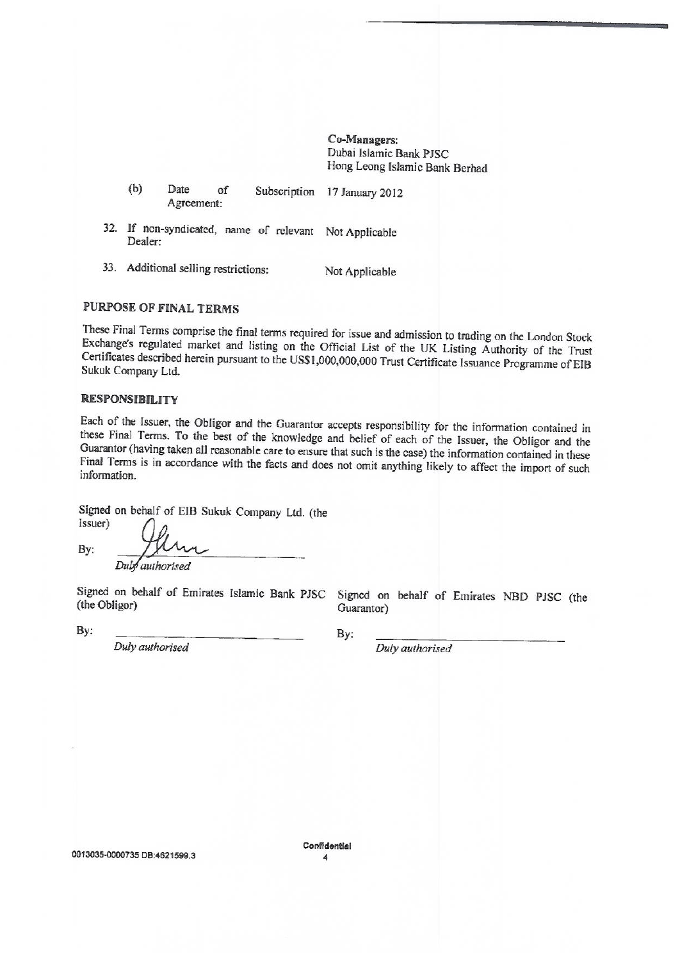Co-Managers: Dubai Islamic Bank PJSC Hong Leong Islamic Bank Berhad

| (b) | Date       |  | Subscription 17 January 2012 |
|-----|------------|--|------------------------------|
|     | Agreement: |  |                              |

- 32. If non-syndicated, name of relevant Not Applicable Dealer:
- 33. Additional selling restrictions: Not Applicable

### **PURPOSE OF FINAL TERMS**

These Final Terms comprise the final terms required for issue and admission to trading on the London Stock Exchange's regulated market and listing on the Official List of the UK Listing Authority of the Trust Certificates described herein pursuant to the US\$1,000,000,000 Trust Certificate Issuance Programme of EIB Sukuk Company Ltd.

#### **RESPONSIBILITY**

Each of the Issuer, the Obligor and the Guarantor accepts responsibility for the information contained in these Final Terms. To the best of the knowledge and belief of each of the Issuer, the Obligor and the Guarantor (having taken all reasonable care to ensure that such is the case) the information contained in these Final Terms is in accordance with the facts and does not omit anything likely to affect the import of such information.

Signed on behalf of EIB Sukuk Company Ltd. (the (Issuer)

By: Duby authorised

Signed on behalf of Emirates Islamic Bank PJSC Signed on behalf of Emirates NBD PJSC (the (the Obligor)

By:

Duly authorised

By:

Guarantor)

Duly authorised

Confidential 4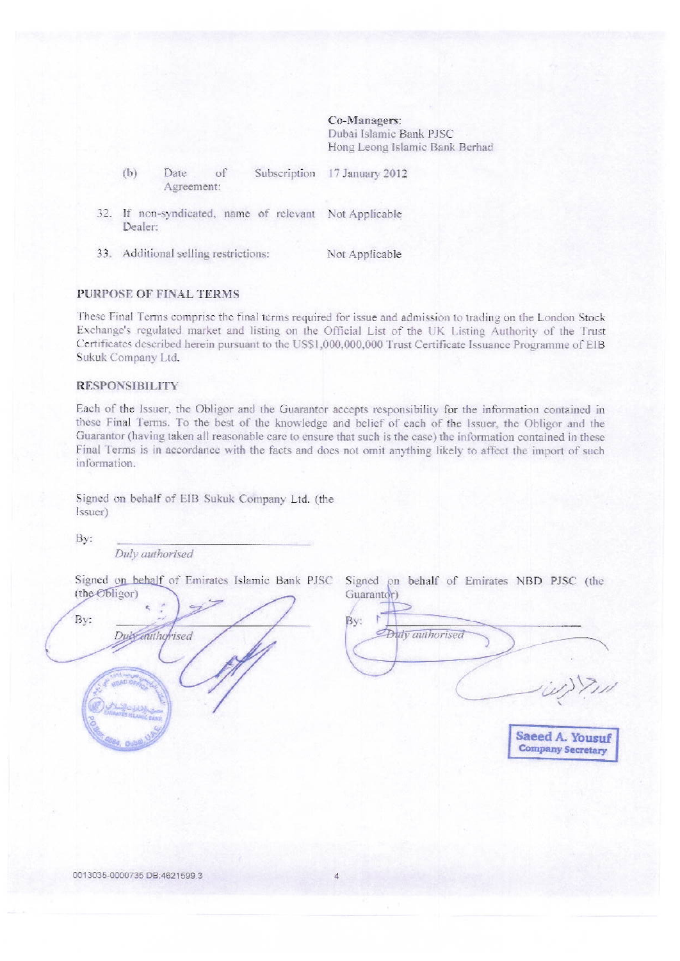Co-Managers: Dubai Islamic Bank PJSC Hong Leong Islamic Bank Berhad

- $(b)$ Subscription Date of 17 January 2012 Agreement:
- 32. If non-syndicated, name of relevant Not Applicable Dealer:
- 33. Additional selling restrictions: Not Applicable

#### **PURPOSE OF FINAL TERMS**

These Final Terms comprise the final terms required for issue and admission to trading on the London Stock Exchange's regulated market and listing on the Official List of the UK Listing Authority of the Trust Certificates described herein pursuant to the US\$1,000,000,000 Trust Certificate Issuance Programme of EIB Sukuk Company Ltd.

#### **RESPONSIBILITY**

Each of the Issuer, the Obligor and the Guarantor accepts responsibility for the information contained in these Final Terms. To the best of the knowledge and belief of each of the Issuer, the Obligor and the Guarantor (having taken all reasonable care to ensure that such is the case) the information contained in these Final Terms is in accordance with the facts and does not omit anything likely to affect the import of such information.

Signed on behalf of EIB Sukuk Company Ltd. (the Issuer)

By:

Duly authorised

Signed on behalf of Emirates Islamic Bank PJSC Signed on behalf of Emirates NBD PJSC (the (the Obligor)



Guarantor) By: *Outy* authorised Saeed A. Yousuf

**Company Secretary**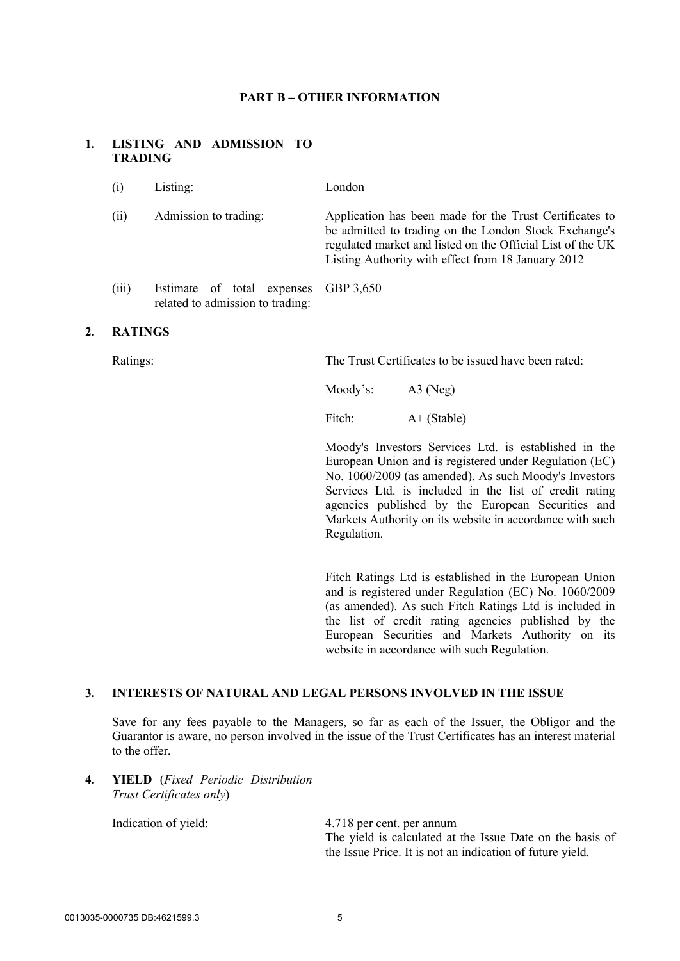#### **PART B – OTHER INFORMATION**

### **1. LISTING AND ADMISSION TO TRADING**

- (i) Listing: London
- (ii) Admission to trading: Application has been made for the Trust Certificates to be admitted to trading on the London Stock Exchange's regulated market and listed on the Official List of the UK Listing Authority with effect from 18 January 2012
- (iii) Estimate of total expenses related to admission to trading: GBP 3,650

#### **2. RATINGS**

Ratings: The Trust Certificates to be issued have been rated:

Moody's: A3 (Neg)

Fitch:  $A+ (Stable)$ 

Moody's Investors Services Ltd. is established in the European Union and is registered under Regulation (EC) No. 1060/2009 (as amended). As such Moody's Investors Services Ltd. is included in the list of credit rating agencies published by the European Securities and Markets Authority on its website in accordance with such Regulation.

Fitch Ratings Ltd is established in the European Union and is registered under Regulation (EC) No. 1060/2009 (as amended). As such Fitch Ratings Ltd is included in the list of credit rating agencies published by the European Securities and Markets Authority on its website in accordance with such Regulation.

#### **3. INTERESTS OF NATURAL AND LEGAL PERSONS INVOLVED IN THE ISSUE**

Save for any fees payable to the Managers, so far as each of the Issuer, the Obligor and the Guarantor is aware, no person involved in the issue of the Trust Certificates has an interest material to the offer.

**4. YIELD** (*Fixed Periodic Distribution Trust Certificates only*)

Indication of yield: 4.718 per cent. per annum The yield is calculated at the Issue Date on the basis of the Issue Price. It is not an indication of future yield.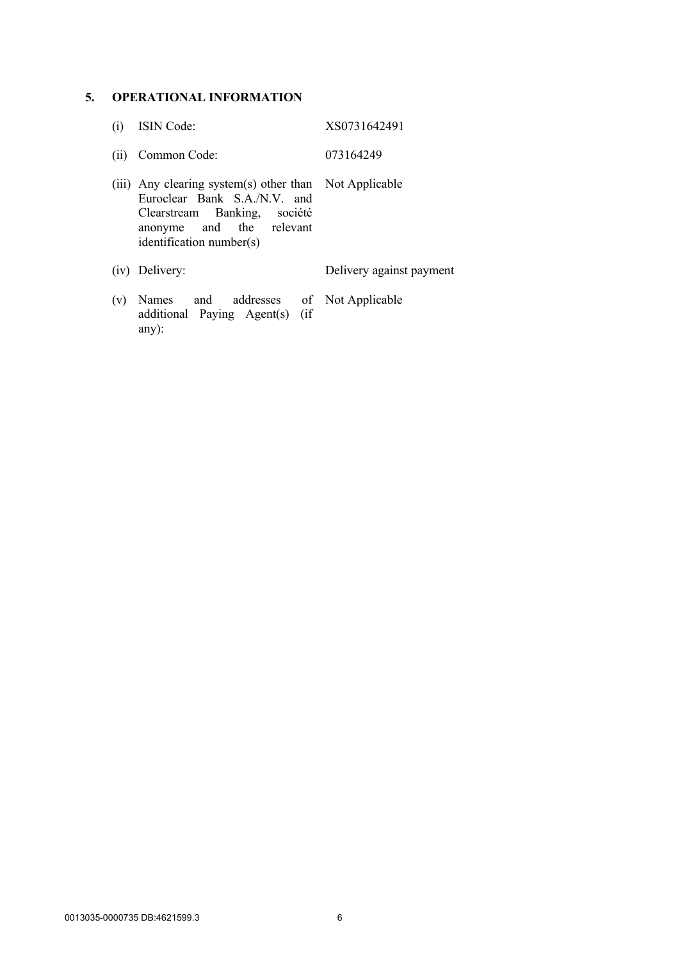# **5. OPERATIONAL INFORMATION**

| (i) | ISIN Code:                                                                                                                                                                     | XS0731642491             |
|-----|--------------------------------------------------------------------------------------------------------------------------------------------------------------------------------|--------------------------|
| (i) | Common Code:                                                                                                                                                                   | 073164249                |
|     | (iii) Any clearing system(s) other than Not Applicable<br>Euroclear Bank S.A./N.V. and<br>Clearstream Banking, société<br>anonyme and the relevant<br>identification number(s) |                          |
|     | (iv) Delivery:                                                                                                                                                                 | Delivery against payment |
| (v) | Names and addresses of Not Applicable<br>additional Paying Agent(s) (if<br>$any)$ :                                                                                            |                          |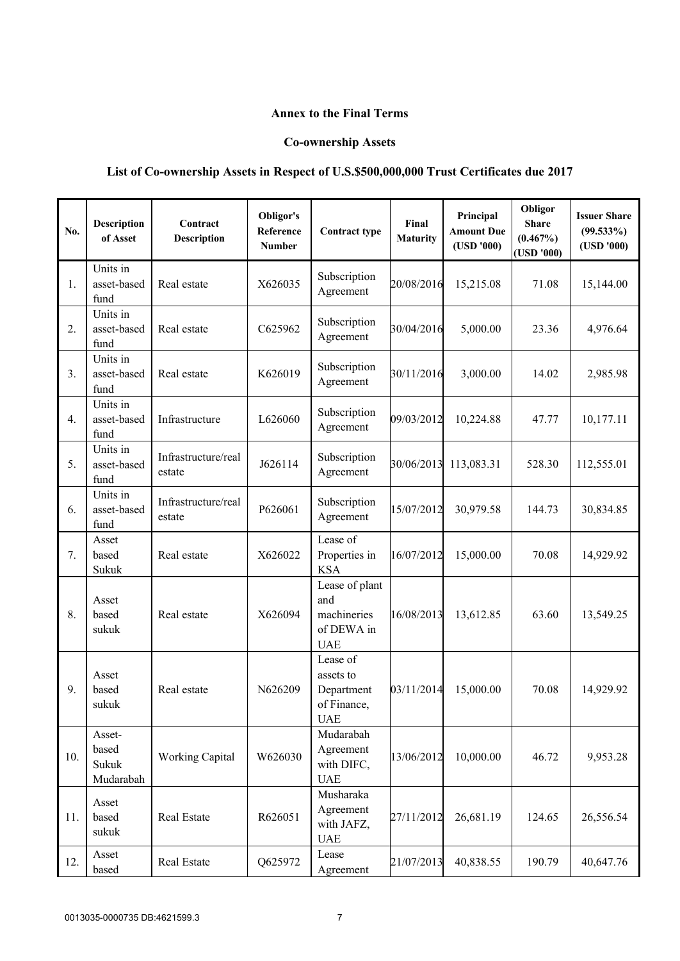## **Annex to the Final Terms**

## **Co-ownership Assets**

# **List of Co-ownership Assets in Respect of U.S.\$500,000,000 Trust Certificates due 2017**

| No. | <b>Description</b><br>of Asset        | Contract<br>Description       | Obligor's<br>Reference<br><b>Number</b> | <b>Contract type</b>                                             | Final<br><b>Maturity</b> | Principal<br><b>Amount Due</b><br>(USD'000) | Obligor<br><b>Share</b><br>(0.467%)<br>(USD'000) | <b>Issuer Share</b><br>$(99.533\%)$<br>(USD'000) |
|-----|---------------------------------------|-------------------------------|-----------------------------------------|------------------------------------------------------------------|--------------------------|---------------------------------------------|--------------------------------------------------|--------------------------------------------------|
| 1.  | Units in<br>asset-based<br>fund       | Real estate                   | X626035                                 | Subscription<br>Agreement                                        | 20/08/2016               | 15,215.08                                   | 71.08                                            | 15,144.00                                        |
| 2.  | Units in<br>asset-based<br>fund       | Real estate                   | C625962                                 | Subscription<br>Agreement                                        | 30/04/2016               | 5,000.00                                    | 23.36                                            | 4,976.64                                         |
| 3.  | Units in<br>asset-based<br>fund       | Real estate                   | K626019                                 | Subscription<br>Agreement                                        | 30/11/2016               | 3,000.00                                    | 14.02                                            | 2,985.98                                         |
| 4.  | Units in<br>asset-based<br>fund       | Infrastructure                | L626060                                 | Subscription<br>Agreement                                        | 09/03/2012               | 10,224.88                                   | 47.77                                            | 10,177.11                                        |
| 5.  | Units in<br>asset-based<br>fund       | Infrastructure/real<br>estate | J626114                                 | Subscription<br>Agreement                                        | 30/06/2013               | 113,083.31                                  | 528.30                                           | 112,555.01                                       |
| 6.  | Units in<br>asset-based<br>fund       | Infrastructure/real<br>estate | P626061                                 | Subscription<br>Agreement                                        | 15/07/2012               | 30,979.58                                   | 144.73                                           | 30,834.85                                        |
| 7.  | Asset<br>based<br>Sukuk               | Real estate                   | X626022                                 | Lease of<br>Properties in<br><b>KSA</b>                          | 16/07/2012               | 15,000.00                                   | 70.08                                            | 14,929.92                                        |
| 8.  | Asset<br>based<br>sukuk               | Real estate                   | X626094                                 | Lease of plant<br>and<br>machineries<br>of DEWA in<br><b>UAE</b> | 16/08/2013               | 13,612.85                                   | 63.60                                            | 13,549.25                                        |
| 9.  | Asset<br>based<br>sukuk               | Real estate                   | N626209                                 | Lease of<br>assets to<br>Department<br>of Finance,<br><b>UAE</b> | 03/11/2014               | 15,000.00                                   | 70.08                                            | 14,929.92                                        |
| 10. | Asset-<br>based<br>Sukuk<br>Mudarabah | <b>Working Capital</b>        | W626030                                 | Mudarabah<br>Agreement<br>with DIFC,<br><b>UAE</b>               | 13/06/2012               | 10,000.00                                   | 46.72                                            | 9,953.28                                         |
| 11. | Asset<br>based<br>sukuk               | Real Estate                   | R626051                                 | Musharaka<br>Agreement<br>with JAFZ,<br><b>UAE</b>               | 27/11/2012               | 26,681.19                                   | 124.65                                           | 26,556.54                                        |
| 12. | Asset<br>based                        | Real Estate                   | Q625972                                 | Lease<br>Agreement                                               | 21/07/2013               | 40,838.55                                   | 190.79                                           | 40,647.76                                        |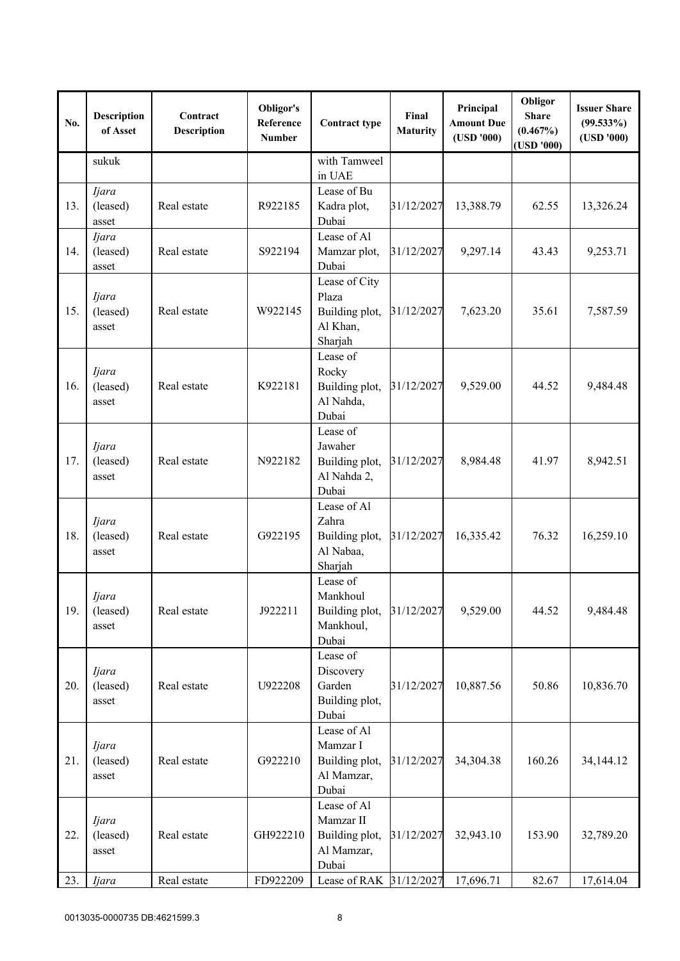| No. | <b>Description</b><br>of Asset    | Contract<br><b>Description</b> | Obligor's<br>Reference<br><b>Number</b> | <b>Contract type</b>                                              | Final<br><b>Maturity</b> | Principal<br><b>Amount Due</b><br>(USD'000) | Obligor<br><b>Share</b><br>$(0.467\%)$<br>(USD '000) | <b>Issuer Share</b><br>$(99.533\%)$<br>(USD'000) |
|-----|-----------------------------------|--------------------------------|-----------------------------------------|-------------------------------------------------------------------|--------------------------|---------------------------------------------|------------------------------------------------------|--------------------------------------------------|
|     | sukuk                             |                                |                                         | with Tamweel<br>in UAE                                            |                          |                                             |                                                      |                                                  |
| 13. | Ijara<br>(leased)<br>asset        | Real estate                    | R922185                                 | Lease of Bu<br>Kadra plot,<br>Dubai                               | 31/12/2027               | 13,388.79                                   | 62.55                                                | 13,326.24                                        |
| 14. | <i>Ijara</i><br>(leased)<br>asset | Real estate                    | S922194                                 | Lease of Al<br>Mamzar plot,<br>Dubai                              | 31/12/2027               | 9,297.14                                    | 43.43                                                | 9,253.71                                         |
| 15. | <i>Ijara</i><br>(leased)<br>asset | Real estate                    | W922145                                 | Lease of City<br>Plaza<br>Building plot,<br>Al Khan,<br>Sharjah   | 31/12/2027               | 7,623.20                                    | 35.61                                                | 7,587.59                                         |
| 16. | <i>Ijara</i><br>(leased)<br>asset | Real estate                    | K922181                                 | Lease of<br>Rocky<br>Building plot,<br>Al Nahda,<br>Dubai         | 31/12/2027               | 9,529.00                                    | 44.52                                                | 9,484.48                                         |
| 17. | <i>Ijara</i><br>(leased)<br>asset | Real estate                    | N922182                                 | Lease of<br>Jawaher<br>Building plot,<br>Al Nahda 2,<br>Dubai     | 31/12/2027               | 8,984.48                                    | 41.97                                                | 8,942.51                                         |
| 18. | <i>Ijara</i><br>(leased)<br>asset | Real estate                    | G922195                                 | Lease of Al<br>Zahra<br>Building plot,<br>Al Nabaa,<br>Sharjah    | 31/12/2027               | 16,335.42                                   | 76.32                                                | 16,259.10                                        |
| 19. | Ijara<br>(leased)<br>asset        | Real estate                    | J922211                                 | Lease of<br>Mankhoul<br>Building plot,<br>Mankhoul,<br>Dubai      | 31/12/2027               | 9,529.00                                    | 44.52                                                | 9,484.48                                         |
| 20. | Ijara<br>(leased)<br>asset        | Real estate                    | U922208                                 | Lease of<br>Discovery<br>Garden<br>Building plot,<br>Dubai        | 31/12/2027               | 10,887.56                                   | 50.86                                                | 10,836.70                                        |
| 21. | <i>Ijara</i><br>(leased)<br>asset | Real estate                    | G922210                                 | Lease of Al<br>Mamzar I<br>Building plot,<br>Al Mamzar,<br>Dubai  | 31/12/2027               | 34,304.38                                   | 160.26                                               | 34,144.12                                        |
| 22. | Ijara<br>(leased)<br>asset        | Real estate                    | GH922210                                | Lease of Al<br>Mamzar II<br>Building plot,<br>Al Mamzar,<br>Dubai | 31/12/2027               | 32,943.10                                   | 153.90                                               | 32,789.20                                        |
| 23. | Ijara                             | Real estate                    | FD922209                                | Lease of RAK 31/12/2027                                           |                          | 17,696.71                                   | 82.67                                                | 17,614.04                                        |